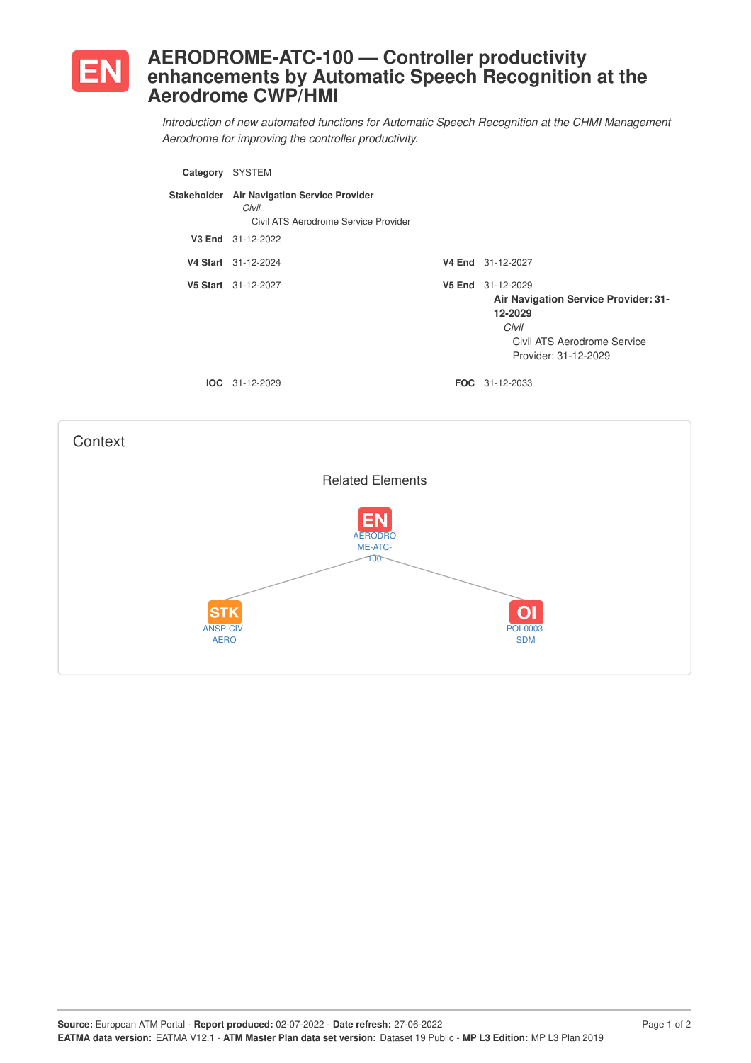

## **AERODROME-ATC-100 — Controller productivity enhancements by Automatic Speech Recognition at the Aerodrome CWP/HMI**

*Introduction of new automated functions for Automatic Speech Recognition at the CHMI Management Aerodrome for improving the controller productivity.*